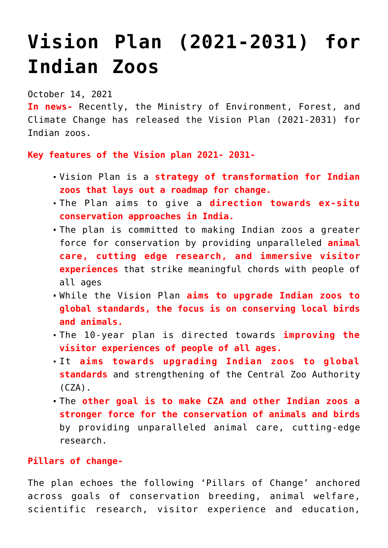## **[Vision Plan \(2021-2031\) for](https://journalsofindia.com/vision-plan-2021-2031-for-indian-zoos/) [Indian Zoos](https://journalsofindia.com/vision-plan-2021-2031-for-indian-zoos/)**

## October 14, 2021

**In news-** Recently, the Ministry of Environment, Forest, and Climate Change has released the Vision Plan (2021-2031) for Indian zoos.

## **Key features of the Vision plan 2021- 2031-**

- Vision Plan is a **strategy of transformation for Indian zoos that lays out a roadmap for change.**
- The Plan aims to give a **direction towards ex-situ conservation approaches in India.**
- The plan is committed to making Indian zoos a greater force for conservation by providing unparalleled **animal care, cutting edge research, and immersive visitor experiences** that strike meaningful chords with people of all ages
- While the Vision Plan **aims to upgrade Indian zoos to global standards, the focus is on conserving local birds and animals.**
- The 10-year plan is directed towards **improving the visitor experiences of people of all ages.**
- It **aims towards upgrading Indian zoos to global standards** and strengthening of the Central Zoo Authority (CZA).
- The **other goal is to make CZA and other Indian zoos a stronger force for the conservation of animals and birds** by providing unparalleled animal care, cutting-edge research.

## **Pillars of change-**

The plan echoes the following 'Pillars of Change' anchored across goals of conservation breeding, animal welfare, scientific research, visitor experience and education,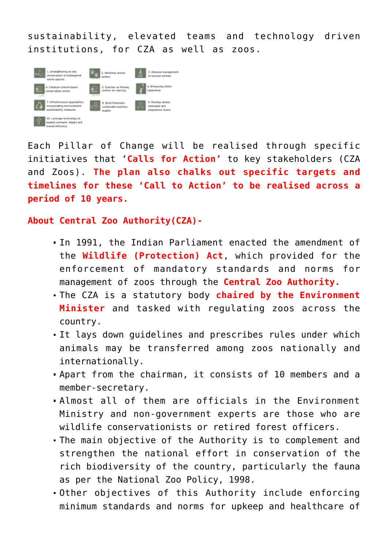sustainability, elevated teams and technology driven institutions, for CZA as well as zoos.



Each Pillar of Change will be realised through specific initiatives that '**Calls for Action'** to key stakeholders (CZA and Zoos). **The plan also chalks out specific targets and timelines for these 'Call to Action' to be realised across a period of 10 years.**

**About Central Zoo Authority(CZA)-**

- In 1991, the Indian Parliament enacted the amendment of the **Wildlife (Protection) Act**, which provided for the enforcement of mandatory standards and norms for management of zoos through the **Central Zoo Authority.**
- The CZA is a statutory body **chaired by the Environment Minister** and tasked with regulating zoos across the country.
- It lays down guidelines and prescribes rules under which animals may be transferred among zoos nationally and internationally.
- Apart from the chairman, it consists of 10 members and a member-secretary.
- Almost all of them are officials in the Environment Ministry and non-government experts are those who are wildlife conservationists or retired forest officers.
- The main objective of the Authority is to complement and strengthen the national effort in conservation of the rich biodiversity of the country, particularly the fauna as per the National Zoo Policy, 1998.
- Other objectives of this Authority include enforcing minimum standards and norms for upkeep and healthcare of